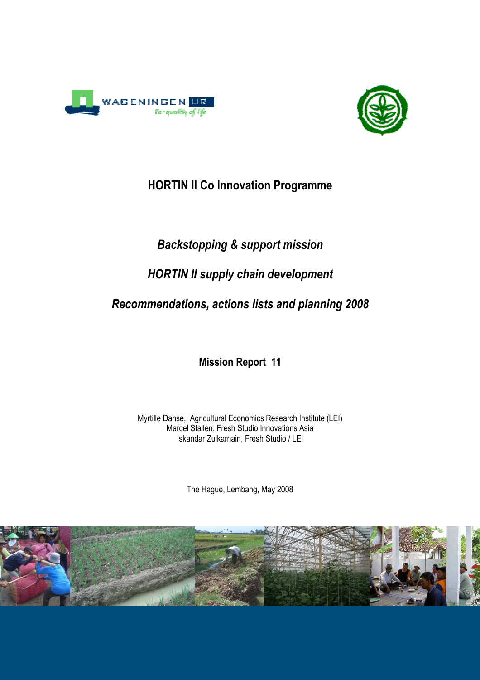



## HORTIN II Co Innovation Programme

# Backstopping & support mission

# HORTIN II supply chain development

# Recommendations, actions lists and planning 2008

Mission Report 11

Myrtille Danse, Agricultural Economics Research Institute (LEI) Marcel Stallen, Fresh Studio Innovations Asia Iskandar Zulkarnain, Fresh Studio / LEI

The Hague, Lembang, May 2008

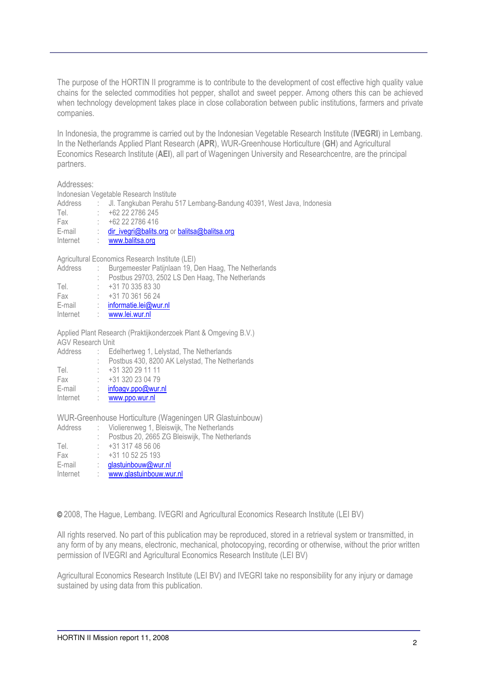The purpose of the HORTIN II programme is to contribute to the development of cost effective high quality value chains for the selected commodities hot pepper, shallot and sweet pepper. Among others this can be achieved when technology development takes place in close collaboration between public institutions, farmers and private companies.

In Indonesia, the programme is carried out by the Indonesian Vegetable Research Institute (IVEGRI) in Lembang. In the Netherlands Applied Plant Research (APR), WUR-Greenhouse Horticulture (GH) and Agricultural Economics Research Institute (AEI), all part of Wageningen University and Researchcentre, are the principal partners.

#### Addresses:

Indonesian Vegetable Research Institute

| Address  | : Jl. Tangkuban Perahu 517 Lembang-Bandung 40391, West Java, Indonesia |
|----------|------------------------------------------------------------------------|
| Tel.     | +62 22 2786 245                                                        |
| Fax      | $+62222786416$                                                         |
| E-mail   | dir_ivegri@balits.org or balitsa@balitsa.org                           |
| Internet | www.balitsa.org                                                        |
|          |                                                                        |

Agricultural Economics Research Institute (LEI)

| Address | Burgemeester Patijnlaan 19, Den Haag, The Netherlands            |
|---------|------------------------------------------------------------------|
|         | Postbus 29703, 2502 LS Den Haag, The Netherlands                 |
| Tel.    | +31 70 335 83 30                                                 |
| Fax     | $+31703615624$                                                   |
| E-mail  | informatie.lei@wur.nl                                            |
|         | Internet : www.lei.wur.nl                                        |
|         |                                                                  |
|         | Applied Plant Research (Praktijkonderzoek Plant & Omgeving B.V.) |

AGV Research Unit

Address : Edelhertweg 1, Lelystad, The Netherlands

|          | Postbus 430, 8200 AK Lelystad, The Netherlands |
|----------|------------------------------------------------|
| Tel.     | $\div$ +31 320 29 11 11                        |
| Fax      | $\div$ +31 320 23 04 79                        |
| E-mail   | : $infoagv.popQwur.nl$                         |
| Internet | : www.ppo.wur.nl                               |

WUR-Greenhouse Horticulture (Wageningen UR Glastuinbouw)

| Address  | : Violierenweg 1, Bleiswijk, The Netherlands   |
|----------|------------------------------------------------|
|          | Postbus 20, 2665 ZG Bleiswijk, The Netherlands |
| Tel.     | +31 317 48 56 06                               |
| Fax      | $\div$ +31 10 52 25 193                        |
| E-mail   | glastuinbouw@wur.nl                            |
| Internet | www.glastuinbouw.wur.nl                        |
|          |                                                |

© 2008, The Hague, Lembang. IVEGRI and Agricultural Economics Research Institute (LEI BV)

All rights reserved. No part of this publication may be reproduced, stored in a retrieval system or transmitted, in any form of by any means, electronic, mechanical, photocopying, recording or otherwise, without the prior written permission of IVEGRI and Agricultural Economics Research Institute (LEI BV)

Agricultural Economics Research Institute (LEI BV) and IVEGRI take no responsibility for any injury or damage sustained by using data from this publication.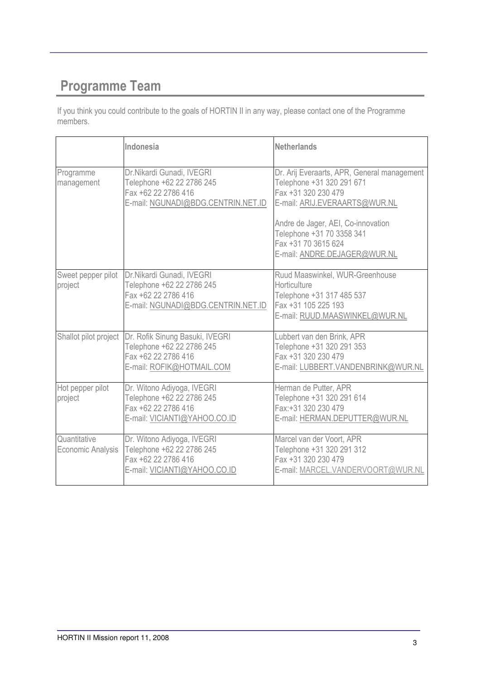# Programme Team

If you think you could contribute to the goals of HORTIN II in any way, please contact one of the Programme members.

|                                   | Indonesia                                                                                                           | <b>Netherlands</b>                                                                                                                                                                                                                                         |
|-----------------------------------|---------------------------------------------------------------------------------------------------------------------|------------------------------------------------------------------------------------------------------------------------------------------------------------------------------------------------------------------------------------------------------------|
| Programme<br>management           | Dr.Nikardi Gunadi, IVEGRI<br>Telephone +62 22 2786 245<br>Fax +62 22 2786 416<br>E-mail: NGUNADI@BDG.CENTRIN.NET.ID | Dr. Arij Everaarts, APR, General management<br>Telephone +31 320 291 671<br>Fax +31 320 230 479<br>E-mail: ARIJ.EVERAARTS@WUR.NL<br>Andre de Jager, AEI, Co-innovation<br>Telephone +31 70 3358 341<br>Fax +31 70 3615 624<br>E-mail: ANDRE.DEJAGER@WUR.NL |
| Sweet pepper pilot<br>project     | Dr.Nikardi Gunadi, IVEGRI<br>Telephone +62 22 2786 245<br>Fax +62 22 2786 416<br>E-mail: NGUNADI@BDG.CENTRIN.NET.ID | Ruud Maaswinkel, WUR-Greenhouse<br>Horticulture<br>Telephone +31 317 485 537<br>Fax +31 105 225 193<br>E-mail: RUUD.MAASWINKEL@WUR.NL                                                                                                                      |
| Shallot pilot project             | Dr. Rofik Sinung Basuki, IVEGRI<br>Telephone +62 22 2786 245<br>Fax +62 22 2786 416<br>E-mail: ROFIK@HOTMAIL.COM    | Lubbert van den Brink, APR<br>Telephone +31 320 291 353<br>Fax +31 320 230 479<br>E-mail: LUBBERT.VANDENBRINK@WUR.NL                                                                                                                                       |
| Hot pepper pilot<br>project       | Dr. Witono Adiyoga, IVEGRI<br>Telephone +62 22 2786 245<br>Fax +62 22 2786 416<br>E-mail: VICIANTI@YAHOO.CO.ID      | Herman de Putter, APR<br>Telephone +31 320 291 614<br>Fax:+31 320 230 479<br>E-mail: HERMAN.DEPUTTER@WUR.NL                                                                                                                                                |
| Quantitative<br>Economic Analysis | Dr. Witono Adiyoga, IVEGRI<br>Telephone +62 22 2786 245<br>Fax +62 22 2786 416<br>E-mail: VICIANTI@YAHOO.CO.ID      | Marcel van der Voort, APR<br>Telephone +31 320 291 312<br>Fax +31 320 230 479<br>E-mail: MARCEL.VANDERVOORT@WUR.NL                                                                                                                                         |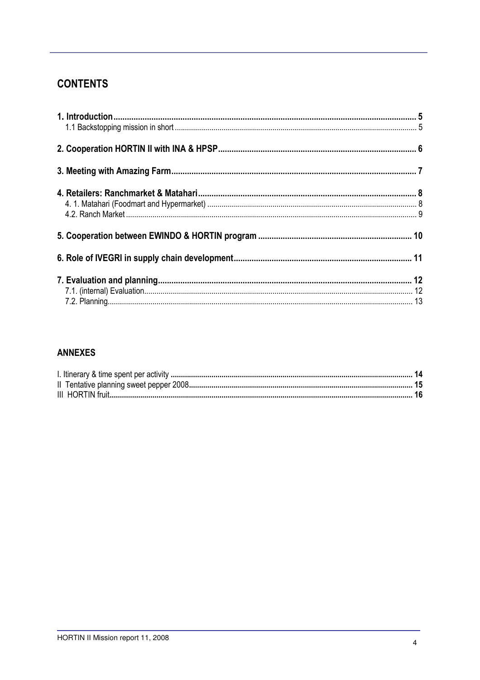### **CONTENTS**

### **ANNEXES**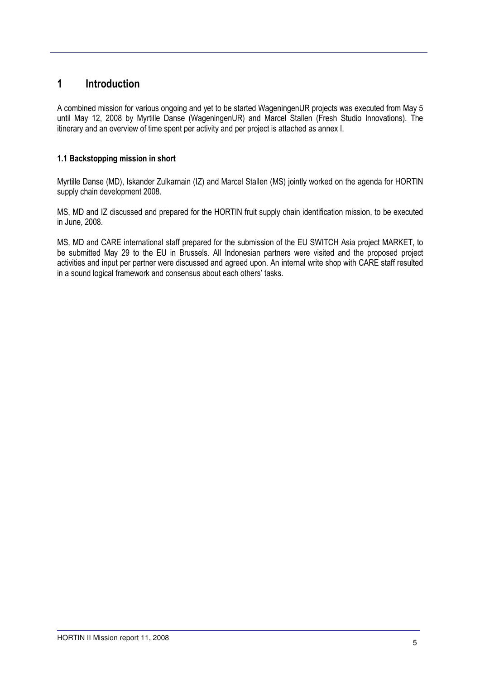### 1 Introduction

A combined mission for various ongoing and yet to be started WageningenUR projects was executed from May 5 until May 12, 2008 by Myrtille Danse (WageningenUR) and Marcel Stallen (Fresh Studio Innovations). The itinerary and an overview of time spent per activity and per project is attached as annex I.

#### 1.1 Backstopping mission in short

Myrtille Danse (MD), Iskander Zulkarnain (IZ) and Marcel Stallen (MS) jointly worked on the agenda for HORTIN supply chain development 2008.

MS, MD and IZ discussed and prepared for the HORTIN fruit supply chain identification mission, to be executed in June, 2008.

MS, MD and CARE international staff prepared for the submission of the EU SWITCH Asia project MARKET, to be submitted May 29 to the EU in Brussels. All Indonesian partners were visited and the proposed project activities and input per partner were discussed and agreed upon. An internal write shop with CARE staff resulted in a sound logical framework and consensus about each others' tasks.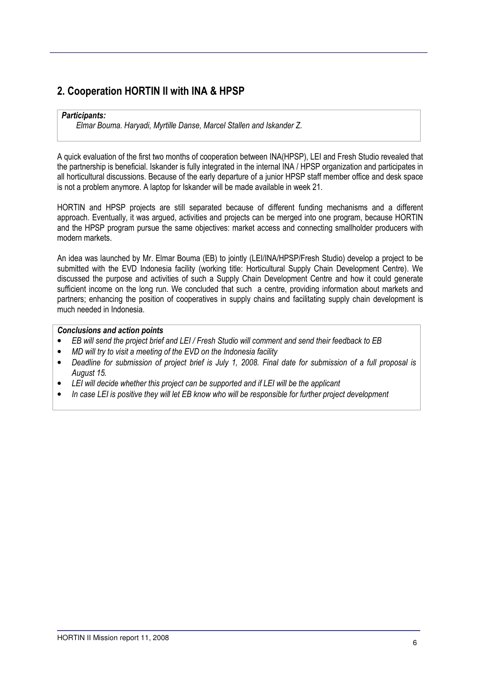### 2. Cooperation HORTIN II with INA & HPSP

#### Participants:

Elmar Bouma. Haryadi, Myrtille Danse, Marcel Stallen and Iskander Z.

A quick evaluation of the first two months of cooperation between INA(HPSP), LEI and Fresh Studio revealed that the partnership is beneficial. Iskander is fully integrated in the internal INA / HPSP organization and participates in all horticultural discussions. Because of the early departure of a junior HPSP staff member office and desk space is not a problem anymore. A laptop for Iskander will be made available in week 21.

HORTIN and HPSP projects are still separated because of different funding mechanisms and a different approach. Eventually, it was argued, activities and projects can be merged into one program, because HORTIN and the HPSP program pursue the same objectives: market access and connecting smallholder producers with modern markets.

An idea was launched by Mr. Elmar Bouma (EB) to jointly (LEI/INA/HPSP/Fresh Studio) develop a project to be submitted with the EVD Indonesia facility (working title: Horticultural Supply Chain Development Centre). We discussed the purpose and activities of such a Supply Chain Development Centre and how it could generate sufficient income on the long run. We concluded that such a centre, providing information about markets and partners; enhancing the position of cooperatives in supply chains and facilitating supply chain development is much needed in Indonesia.

#### Conclusions and action points

- EB will send the project brief and LEI / Fresh Studio will comment and send their feedback to EB
- MD will try to visit a meeting of the EVD on the Indonesia facility
- Deadline for submission of project brief is July 1, 2008. Final date for submission of a full proposal is August 15.
- LEI will decide whether this project can be supported and if LEI will be the applicant
- In case LEI is positive they will let EB know who will be responsible for further project development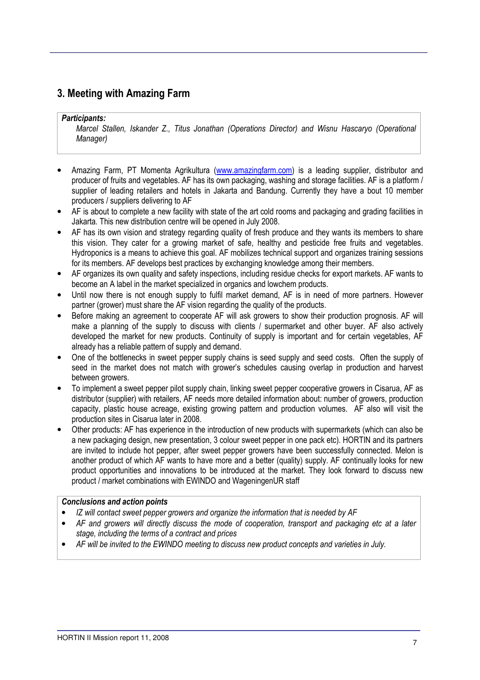### 3. Meeting with Amazing Farm

#### Participants:

Marcel Stallen, Iskander Z., Titus Jonathan (Operations Director) and Wisnu Hascaryo (Operational Manager)

- Amazing Farm, PT Momenta Agrikultura (www.amazingfarm.com) is a leading supplier, distributor and producer of fruits and vegetables. AF has its own packaging, washing and storage facilities. AF is a platform / supplier of leading retailers and hotels in Jakarta and Bandung. Currently they have a bout 10 member producers / suppliers delivering to AF
- AF is about to complete a new facility with state of the art cold rooms and packaging and grading facilities in Jakarta. This new distribution centre will be opened in July 2008.
- AF has its own vision and strategy regarding quality of fresh produce and they wants its members to share this vision. They cater for a growing market of safe, healthy and pesticide free fruits and vegetables. Hydroponics is a means to achieve this goal. AF mobilizes technical support and organizes training sessions for its members. AF develops best practices by exchanging knowledge among their members.
- AF organizes its own quality and safety inspections, including residue checks for export markets. AF wants to become an A label in the market specialized in organics and lowchem products.
- Until now there is not enough supply to fulfil market demand, AF is in need of more partners. However partner (grower) must share the AF vision regarding the quality of the products.
- Before making an agreement to cooperate AF will ask growers to show their production prognosis. AF will make a planning of the supply to discuss with clients / supermarket and other buyer. AF also actively developed the market for new products. Continuity of supply is important and for certain vegetables, AF already has a reliable pattern of supply and demand.
- One of the bottlenecks in sweet pepper supply chains is seed supply and seed costs. Often the supply of seed in the market does not match with grower's schedules causing overlap in production and harvest between growers.
- To implement a sweet pepper pilot supply chain, linking sweet pepper cooperative growers in Cisarua, AF as distributor (supplier) with retailers, AF needs more detailed information about: number of growers, production capacity, plastic house acreage, existing growing pattern and production volumes. AF also will visit the production sites in Cisarua later in 2008.
- Other products: AF has experience in the introduction of new products with supermarkets (which can also be a new packaging design, new presentation, 3 colour sweet pepper in one pack etc). HORTIN and its partners are invited to include hot pepper, after sweet pepper growers have been successfully connected. Melon is another product of which AF wants to have more and a better (quality) supply. AF continually looks for new product opportunities and innovations to be introduced at the market. They look forward to discuss new product / market combinations with EWINDO and WageningenUR staff

#### Conclusions and action points

- IZ will contact sweet pepper growers and organize the information that is needed by AF
- AF and growers will directly discuss the mode of cooperation, transport and packaging etc at a later stage, including the terms of a contract and prices
- AF will be invited to the EWINDO meeting to discuss new product concepts and varieties in July.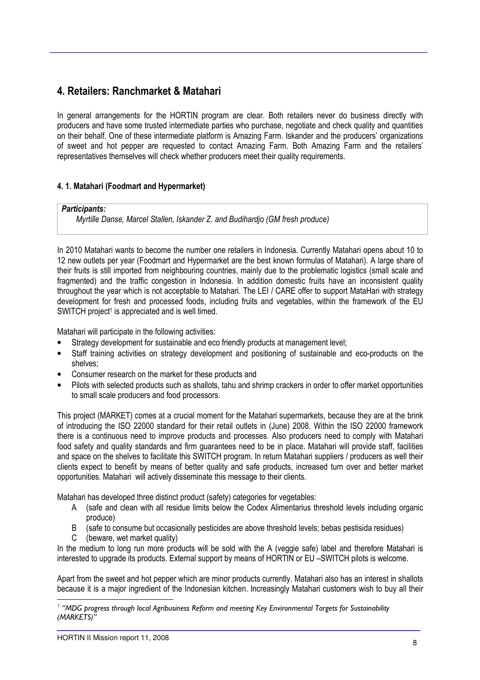### 4. Retailers: Ranchmarket & Matahari

In general arrangements for the HORTIN program are clear. Both retailers never do business directly with producers and have some trusted intermediate parties who purchase, negotiate and check quality and quantities on their behalf. One of these intermediate platform is Amazing Farm. Iskander and the producers' organizations of sweet and hot pepper are requested to contact Amazing Farm. Both Amazing Farm and the retailers' representatives themselves will check whether producers meet their quality requirements.

#### 4. 1. Matahari (Foodmart and Hypermarket)

#### Participants:

Myrtille Danse, Marcel Stallen, Iskander Z. and Budihardjo (GM fresh produce)

In 2010 Matahari wants to become the number one retailers in Indonesia. Currently Matahari opens about 10 to 12 new outlets per year (Foodmart and Hypermarket are the best known formulas of Matahari). A large share of their fruits is still imported from neighbouring countries, mainly due to the problematic logistics (small scale and fragmented) and the traffic congestion in Indonesia. In addition domestic fruits have an inconsistent quality throughout the year which is not acceptable to Matahari. The LEI / CARE offer to support MataHari with strategy development for fresh and processed foods, including fruits and vegetables, within the framework of the EU SWITCH project<sup>1</sup> is appreciated and is well timed.

Matahari will participate in the following activities:

- Strategy development for sustainable and eco friendly products at management level;
- Staff training activities on strategy development and positioning of sustainable and eco-products on the shelves;
- Consumer research on the market for these products and
- Pilots with selected products such as shallots, tahu and shrimp crackers in order to offer market opportunities to small scale producers and food processors.

This project (MARKET) comes at a crucial moment for the Matahari supermarkets, because they are at the brink of introducing the ISO 22000 standard for their retail outlets in (June) 2008. Within the ISO 22000 framework there is a continuous need to improve products and processes. Also producers need to comply with Matahari food safety and quality standards and firm guarantees need to be in place. Matahari will provide staff, facilities and space on the shelves to facilitate this SWITCH program. In return Matahari suppliers / producers as well their clients expect to benefit by means of better quality and safe products, increased turn over and better market opportunities. Matahari will actively disseminate this message to their clients.

Matahari has developed three distinct product (safety) categories for vegetables:

- A (safe and clean with all residue limits below the Codex Alimentarius threshold levels including organic produce)
- B (safe to consume but occasionally pesticides are above threshold levels; bebas pestisida residues)
- C (beware, wet market quality)

In the medium to long run more products will be sold with the A (veggie safe) label and therefore Matahari is interested to upgrade its products. External support by means of HORTIN or EU –SWITCH pilots is welcome.

Apart from the sweet and hot pepper which are minor products currently. Matahari also has an interest in shallots because it is a major ingredient of the Indonesian kitchen. Increasingly Matahari customers wish to buy all their

l,

<sup>&</sup>lt;sup>1</sup> "MDG progress through local Agribusiness Reform and meeting Key Environmental Targets for Sustainability (MARKETS)"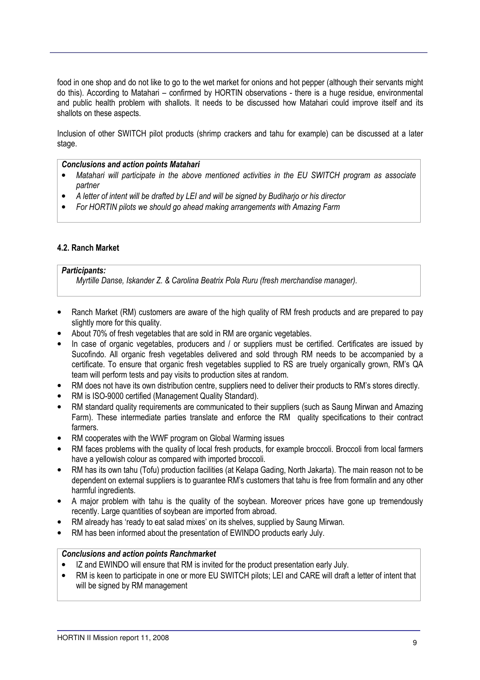food in one shop and do not like to go to the wet market for onions and hot pepper (although their servants might do this). According to Matahari – confirmed by HORTIN observations - there is a huge residue, environmental and public health problem with shallots. It needs to be discussed how Matahari could improve itself and its shallots on these aspects.

Inclusion of other SWITCH pilot products (shrimp crackers and tahu for example) can be discussed at a later stage.

#### Conclusions and action points Matahari

- Matahari will participate in the above mentioned activities in the EU SWITCH program as associate partner
- A letter of intent will be drafted by LEI and will be signed by Budiharjo or his director
- For HORTIN pilots we should go ahead making arrangements with Amazing Farm

#### 4.2. Ranch Market

#### Participants:

Myrtille Danse, Iskander Z. & Carolina Beatrix Pola Ruru (fresh merchandise manager).

- Ranch Market (RM) customers are aware of the high quality of RM fresh products and are prepared to pay slightly more for this quality.
- About 70% of fresh vegetables that are sold in RM are organic vegetables.
- In case of organic vegetables, producers and / or suppliers must be certified. Certificates are issued by Sucofindo. All organic fresh vegetables delivered and sold through RM needs to be accompanied by a certificate. To ensure that organic fresh vegetables supplied to RS are truely organically grown, RM's QA team will perform tests and pay visits to production sites at random.
- RM does not have its own distribution centre, suppliers need to deliver their products to RM's stores directly.
- RM is ISO-9000 certified (Management Quality Standard).
- RM standard quality requirements are communicated to their suppliers (such as Saung Mirwan and Amazing Farm). These intermediate parties translate and enforce the RM quality specifications to their contract farmers.
- RM cooperates with the WWF program on Global Warming issues
- RM faces problems with the quality of local fresh products, for example broccoli. Broccoli from local farmers have a yellowish colour as compared with imported broccoli.
- RM has its own tahu (Tofu) production facilities (at Kelapa Gading, North Jakarta). The main reason not to be dependent on external suppliers is to guarantee RM's customers that tahu is free from formalin and any other harmful ingredients.
- A major problem with tahu is the quality of the soybean. Moreover prices have gone up tremendously recently. Large quantities of soybean are imported from abroad.
- RM already has 'ready to eat salad mixes' on its shelves, supplied by Saung Mirwan.
- RM has been informed about the presentation of EWINDO products early July.

#### Conclusions and action points Ranchmarket

- IZ and EWINDO will ensure that RM is invited for the product presentation early July.
- RM is keen to participate in one or more EU SWITCH pilots; LEI and CARE will draft a letter of intent that will be signed by RM management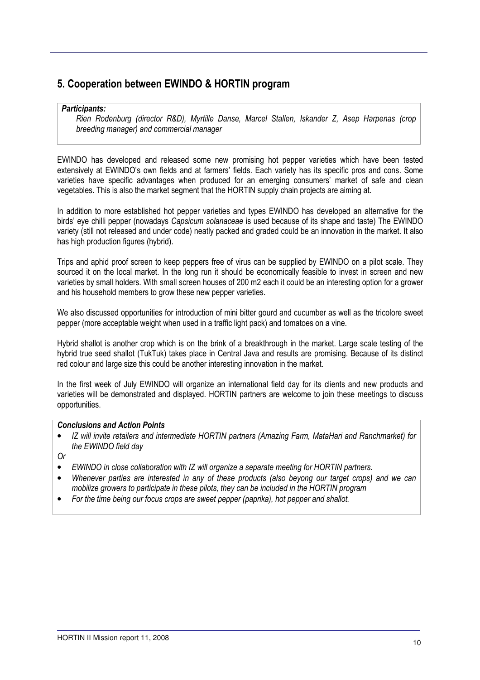### 5. Cooperation between EWINDO & HORTIN program

#### Participants:

Rien Rodenburg (director R&D), Myrtille Danse, Marcel Stallen, Iskander Z, Asep Harpenas (crop breeding manager) and commercial manager

EWINDO has developed and released some new promising hot pepper varieties which have been tested extensively at EWINDO's own fields and at farmers' fields. Each variety has its specific pros and cons. Some varieties have specific advantages when produced for an emerging consumers' market of safe and clean vegetables. This is also the market segment that the HORTIN supply chain projects are aiming at.

In addition to more established hot pepper varieties and types EWINDO has developed an alternative for the birds' eye chilli pepper (nowadays Capsicum solanaceae is used because of its shape and taste) The EWINDO variety (still not released and under code) neatly packed and graded could be an innovation in the market. It also has high production figures (hybrid).

Trips and aphid proof screen to keep peppers free of virus can be supplied by EWINDO on a pilot scale. They sourced it on the local market. In the long run it should be economically feasible to invest in screen and new varieties by small holders. With small screen houses of 200 m2 each it could be an interesting option for a grower and his household members to grow these new pepper varieties.

We also discussed opportunities for introduction of mini bitter gourd and cucumber as well as the tricolore sweet pepper (more acceptable weight when used in a traffic light pack) and tomatoes on a vine.

Hybrid shallot is another crop which is on the brink of a breakthrough in the market. Large scale testing of the hybrid true seed shallot (TukTuk) takes place in Central Java and results are promising. Because of its distinct red colour and large size this could be another interesting innovation in the market.

In the first week of July EWINDO will organize an international field day for its clients and new products and varieties will be demonstrated and displayed. HORTIN partners are welcome to join these meetings to discuss opportunities.

#### Conclusions and Action Points

• IZ will invite retailers and intermediate HORTIN partners (Amazing Farm, MataHari and Ranchmarket) for the EWINDO field day

Or

- EWINDO in close collaboration with IZ will organize a separate meeting for HORTIN partners.
- Whenever parties are interested in any of these products (also beyong our target crops) and we can mobilize growers to participate in these pilots, they can be included in the HORTIN program
- For the time being our focus crops are sweet pepper (paprika), hot pepper and shallot.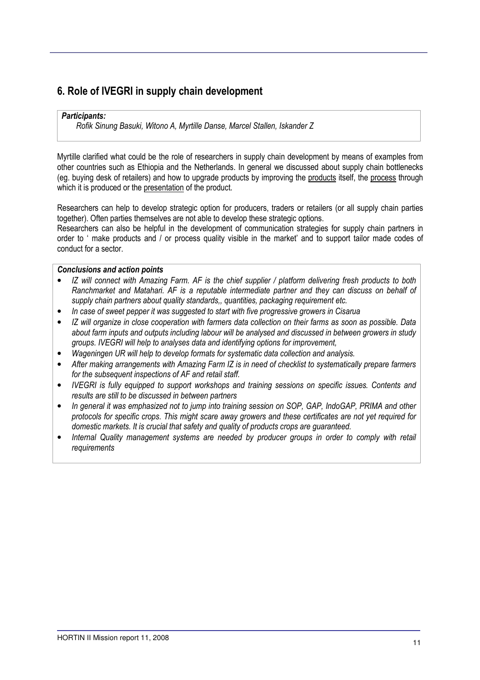### 6. Role of IVEGRI in supply chain development

#### Participants:

Rofik Sinung Basuki, Witono A, Myrtille Danse, Marcel Stallen, Iskander Z

Myrtille clarified what could be the role of researchers in supply chain development by means of examples from other countries such as Ethiopia and the Netherlands. In general we discussed about supply chain bottlenecks (eg. buying desk of retailers) and how to upgrade products by improving the products itself, the process through which it is produced or the presentation of the product.

Researchers can help to develop strategic option for producers, traders or retailers (or all supply chain parties together). Often parties themselves are not able to develop these strategic options.

Researchers can also be helpful in the development of communication strategies for supply chain partners in order to ' make products and / or process quality visible in the market' and to support tailor made codes of conduct for a sector.

#### Conclusions and action points

- IZ will connect with Amazing Farm. AF is the chief supplier / platform delivering fresh products to both Ranchmarket and Matahari. AF is a reputable intermediate partner and they can discuss on behalf of supply chain partners about quality standards,, quantities, packaging requirement etc.
- In case of sweet pepper it was suggested to start with five progressive growers in Cisarua
- IZ will organize in close cooperation with farmers data collection on their farms as soon as possible. Data about farm inputs and outputs including labour will be analysed and discussed in between growers in study groups. IVEGRI will help to analyses data and identifying options for improvement,
- Wageningen UR will help to develop formats for systematic data collection and analysis.
- After making arrangements with Amazing Farm IZ is in need of checklist to systematically prepare farmers for the subsequent inspections of AF and retail staff.
- IVEGRI is fully equipped to support workshops and training sessions on specific issues. Contents and results are still to be discussed in between partners
- In general it was emphasized not to jump into training session on SOP, GAP, IndoGAP, PRIMA and other protocols for specific crops. This might scare away growers and these certificates are not yet required for domestic markets. It is crucial that safety and quality of products crops are guaranteed.
- Internal Quality management systems are needed by producer groups in order to comply with retail requirements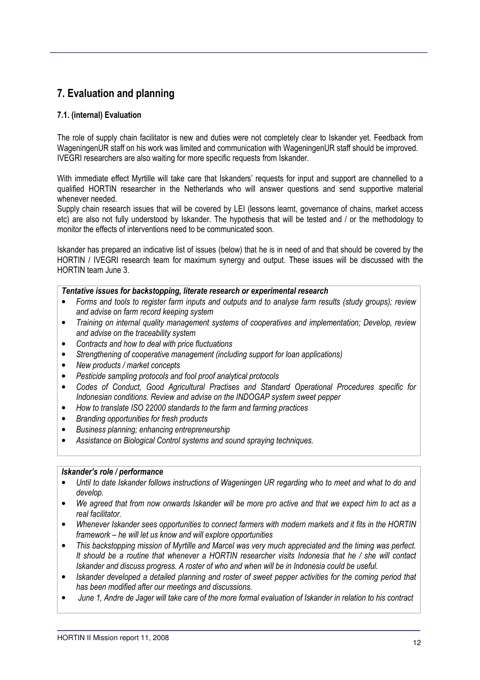### 7. Evaluation and planning

#### 7.1. (internal) Evaluation

The role of supply chain facilitator is new and duties were not completely clear to Iskander yet. Feedback from WageningenUR staff on his work was limited and communication with WageningenUR staff should be improved. IVEGRI researchers are also waiting for more specific requests from Iskander.

With immediate effect Myrtille will take care that Iskanders' requests for input and support are channelled to a qualified HORTIN researcher in the Netherlands who will answer questions and send supportive material whenever needed.

Supply chain research issues that will be covered by LEI (lessons learnt, governance of chains, market access etc) are also not fully understood by Iskander. The hypothesis that will be tested and / or the methodology to monitor the effects of interventions need to be communicated soon.

Iskander has prepared an indicative list of issues (below) that he is in need of and that should be covered by the HORTIN / IVEGRI research team for maximum synergy and output. These issues will be discussed with the HORTIN team June 3.

#### Tentative issues for backstopping, literate research or experimental research

- Forms and tools to register farm inputs and outputs and to analyse farm results (study groups); review and advise on farm record keeping system
- Training on internal quality management systems of cooperatives and implementation; Develop, review and advise on the traceability system
- Contracts and how to deal with price fluctuations
- Strengthening of cooperative management (including support for loan applications)
- New products / market concepts
- Pesticide sampling protocols and fool proof analytical protocols
- Codes of Conduct, Good Agricultural Practises and Standard Operational Procedures specific for Indonesian conditions. Review and advise on the INDOGAP system sweet pepper
- How to translate ISO 22000 standards to the farm and farming practices
- Branding opportunities for fresh products
- Business planning; enhancing entrepreneurship
- Assistance on Biological Control systems and sound spraying techniques.

#### Iskander's role / performance

- Until to date Iskander follows instructions of Wageningen UR regarding who to meet and what to do and develop.
- We agreed that from now onwards Iskander will be more pro active and that we expect him to act as a real facilitator.
- Whenever Iskander sees opportunities to connect farmers with modern markets and it fits in the HORTIN framework – he will let us know and will explore opportunities
- This backstopping mission of Myrtille and Marcel was very much appreciated and the timing was perfect. It should be a routine that whenever a HORTIN researcher visits Indonesia that he / she will contact Iskander and discuss progress. A roster of who and when will be in Indonesia could be useful.
- Iskander developed a detailed planning and roster of sweet pepper activities for the coming period that has been modified after our meetings and discussions.
- June 1, Andre de Jager will take care of the more formal evaluation of Iskander in relation to his contract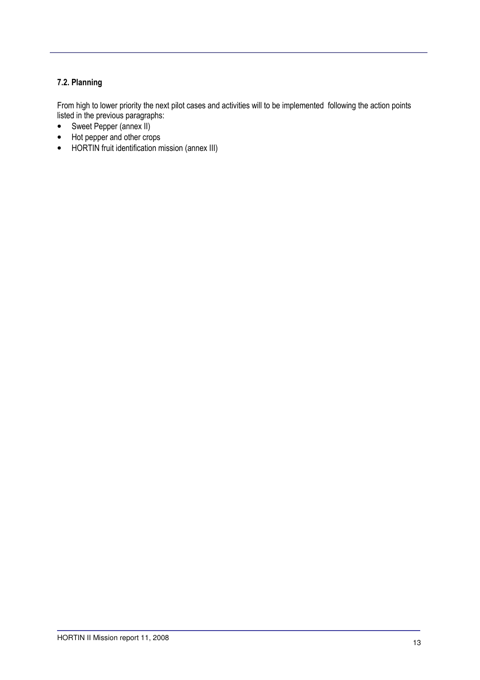#### 7.2. Planning

From high to lower priority the next pilot cases and activities will to be implemented following the action points listed in the previous paragraphs:

- Sweet Pepper (annex II)
- Hot pepper and other crops
- HORTIN fruit identification mission (annex III)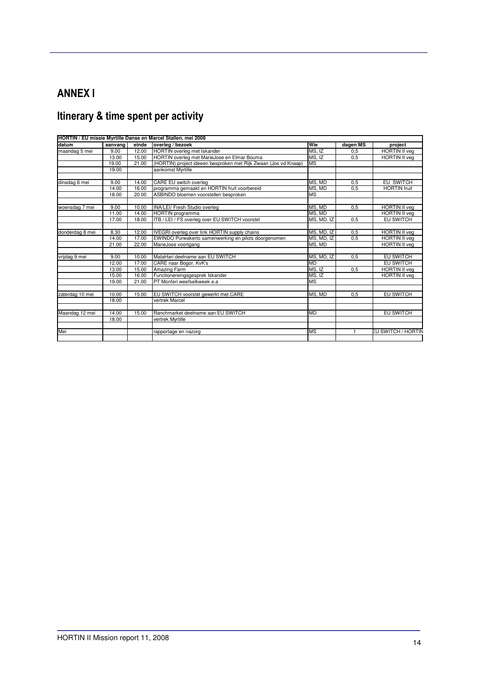### ANNEX I

# Itinerary & time spent per activity

|                 | HORTIN / EU missie Myrtille Danse en Marcel Stallen, mei 2008 |       |                                                                 |            |          |                      |
|-----------------|---------------------------------------------------------------|-------|-----------------------------------------------------------------|------------|----------|----------------------|
| datum           | aanvang                                                       | einde | overleg / bezoek                                                | Wie        | dagen MS | project              |
| maandag 5 mei   | 9.00                                                          | 12.00 | HORTIN overleg met Iskander                                     | MS. IZ     | 0,5      | <b>HORTIN II</b> veg |
|                 | 13.00                                                         | 15.00 | HORTIN overleg met MarieJose en Elmar Bouma                     | MS.IZ      | 0.5      | <b>HORTIN II veg</b> |
|                 | 19.00                                                         | 21.00 | (HORTIN) project ideeen besproken met Rijk Zwaan (Jos vd Knaap) | <b>MS</b>  |          |                      |
|                 | 19.00                                                         |       | aankomst Myrtille                                               |            |          |                      |
|                 |                                                               |       |                                                                 |            |          |                      |
| dinsdag 6 mei   | 9.00                                                          | 14.00 | CARE EU switch overleg                                          | MS. MD     | 0,5      | EU SWITCH            |
|                 | 14.00                                                         | 16.00 | programma gemaakt en HORTIN fruit voorbereid                    | MS. MD     | 0.5      | <b>HORTIN</b> fruit  |
|                 | 18.00                                                         | 20.00 | ASBINDO bloemen voorstellen besproken                           | <b>MS</b>  |          |                      |
|                 |                                                               |       |                                                                 |            |          |                      |
| woensdag 7 mei  | 9.00                                                          | 10.00 | <b>INA/LEI/ Fresh Studio overleg</b>                            | MS. MD     | 0,5      | <b>HORTIN II veg</b> |
|                 | 11.00                                                         | 14.00 | <b>HORTIN</b> programma                                         | MS. MD     |          | <b>HORTIN II veg</b> |
|                 | 17.00                                                         | 18.00 | ITB / LEI / FS overleg over EU SWITCH voorstel                  | MS. MD. IZ | 0.5      | EU SWITCH            |
|                 |                                                               |       |                                                                 |            |          |                      |
| donderdag 8 mei | 8.30                                                          | 12.00 | IVEGRI overleg over link HORTIN supply chains                   | MS, MD, IZ | 0,5      | <b>HORTIN II veg</b> |
|                 | 14.00                                                         | 17.00 | EWINDO Purwakerto samenwerking en pilots doorgenomen            | MS, MD, IZ | 0,5      | <b>HORTIN II veg</b> |
|                 | 21.00                                                         | 22.00 | MarieJose voortgang                                             | MS, MD     |          | <b>HORTIN II veg</b> |
|                 |                                                               |       |                                                                 |            |          |                      |
| vrijdag 9 mei   | 9.00                                                          | 10.00 | MataHari deelname aan EU SWITCH                                 | MS, MD, IZ | 0,5      | <b>EU SWITCH</b>     |
|                 | 12.00                                                         | 17.00 | CARE naar Bogor, KvK's                                          | <b>MD</b>  |          | <b>EU SWITCH</b>     |
|                 | 13.00                                                         | 15.00 | Amazing Farm                                                    | MS, IZ     | 0,5      | <b>HORTIN II veg</b> |
|                 | 15.00                                                         | 16.00 | Functionereingsgesprek Iskander                                 | MS, IZ     |          | <b>HORTIN II vea</b> |
|                 | 19.00                                                         | 21.00 | PT Monferi weefselkweek e.a.                                    | <b>MS</b>  |          |                      |
|                 |                                                               |       |                                                                 |            |          |                      |
| zaterdag 10 mei | 10.00                                                         | 15.00 | EU SWITCH voorstel gewerkt met CARE                             | MS, MD     | 0,5      | EU SWITCH            |
|                 | 18.00                                                         |       | vertrek Marcel                                                  |            |          |                      |
|                 |                                                               |       |                                                                 |            |          |                      |
| Maandag 12 mei  | 14.00                                                         | 15.00 | Ranchmarket deelname aan EU SWITCH                              | <b>MD</b>  |          | <b>EU SWITCH</b>     |
|                 | 18.00                                                         |       | vertrek Myrtille                                                |            |          |                      |
|                 |                                                               |       |                                                                 |            |          |                      |
| Mei             |                                                               |       | rapportage en nazorg                                            | MS         |          | EU SWITCH / HORTIN   |
|                 |                                                               |       |                                                                 |            |          |                      |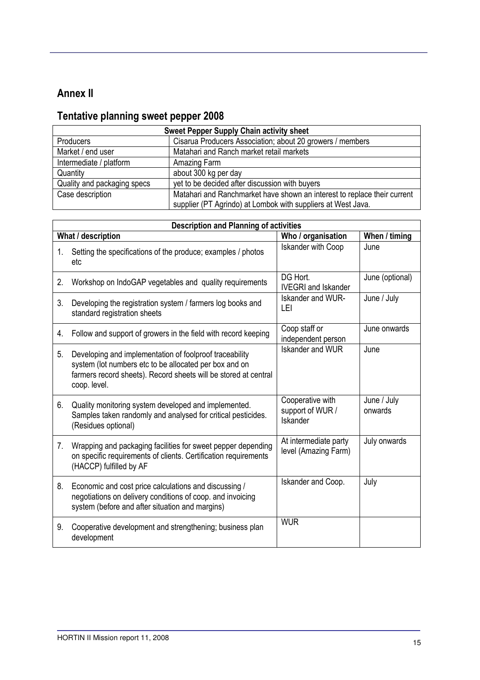### Annex II

# Tentative planning sweet pepper 2008

| <b>Sweet Pepper Supply Chain activity sheet</b> |                                                                                                                                          |  |  |
|-------------------------------------------------|------------------------------------------------------------------------------------------------------------------------------------------|--|--|
| <b>Producers</b>                                | Cisarua Producers Association; about 20 growers / members                                                                                |  |  |
| Market / end user                               | Matahari and Ranch market retail markets                                                                                                 |  |  |
| Intermediate / platform                         | Amazing Farm                                                                                                                             |  |  |
| Quantity                                        | about 300 kg per day                                                                                                                     |  |  |
| Quality and packaging specs                     | yet to be decided after discussion with buyers                                                                                           |  |  |
| Case description                                | Matahari and Ranchmarket have shown an interest to replace their current<br>supplier (PT Agrindo) at Lombok with suppliers at West Java. |  |  |

|    | <b>Description and Planning of activities</b>                                                                                                                                                        |                                                  |                        |  |  |  |  |
|----|------------------------------------------------------------------------------------------------------------------------------------------------------------------------------------------------------|--------------------------------------------------|------------------------|--|--|--|--|
|    | What / description<br>Who / organisation<br>When / timing                                                                                                                                            |                                                  |                        |  |  |  |  |
| 1. | Setting the specifications of the produce; examples / photos<br>etc                                                                                                                                  | <b>Iskander with Coop</b>                        | June                   |  |  |  |  |
| 2. | Workshop on IndoGAP vegetables and quality requirements                                                                                                                                              | DG Hort.<br><b>IVEGRI</b> and Iskander           | June (optional)        |  |  |  |  |
| 3. | Developing the registration system / farmers log books and<br>standard registration sheets                                                                                                           | Iskander and WUR-<br>LEI                         | June / July            |  |  |  |  |
| 4. | Follow and support of growers in the field with record keeping                                                                                                                                       | Coop staff or<br>independent person              | June onwards           |  |  |  |  |
| 5. | Developing and implementation of foolproof traceability<br>system (lot numbers etc to be allocated per box and on<br>farmers record sheets). Record sheets will be stored at central<br>coop. level. | Iskander and WUR                                 | June                   |  |  |  |  |
| 6. | Quality monitoring system developed and implemented.<br>Samples taken randomly and analysed for critical pesticides.<br>(Residues optional)                                                          | Cooperative with<br>support of WUR /<br>Iskander | June / July<br>onwards |  |  |  |  |
| 7. | Wrapping and packaging facilities for sweet pepper depending<br>on specific requirements of clients. Certification requirements<br>(HACCP) fulfilled by AF                                           | At intermediate party<br>level (Amazing Farm)    | July onwards           |  |  |  |  |
| 8. | Economic and cost price calculations and discussing /<br>negotiations on delivery conditions of coop. and invoicing<br>system (before and after situation and margins)                               | Iskander and Coop.                               | July                   |  |  |  |  |
| 9. | Cooperative development and strengthening; business plan<br>development                                                                                                                              | <b>WUR</b>                                       |                        |  |  |  |  |